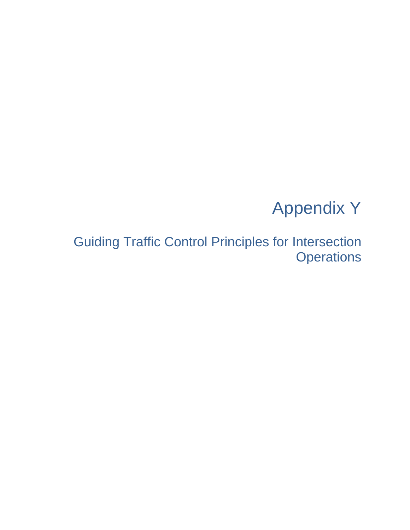# Appendix Y

Guiding Traffic Control Principles for Intersection **Operations**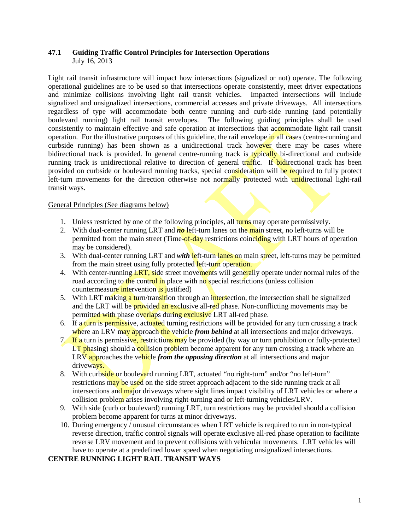#### **47.1 Guiding Traffic Control Principles for Intersection Operations** July 16, 2013

Light rail transit infrastructure will impact how intersections (signalized or not) operate. The following operational guidelines are to be used so that intersections operate consistently, meet driver expectations and minimize collisions involving light rail transit vehicles. Impacted intersections will include signalized and unsignalized intersections, commercial accesses and private driveways. All intersections regardless of type will accommodate both centre running and curb-side running (and potentially boulevard running) light rail transit envelopes. The following guiding principles shall be used consistently to maintain effective and safe operation at intersections that accommodate light rail transit operation. For the illustrative purposes of this guideline, the rail envelope in all cases (centre-running and curbside running) has been shown as a unidirectional track however there may be cases where bidirectional track is provided. In general centre-running track is typically bi-directional and curbside running track is unidirectional relative to direction of general traffic. If bidirectional track has been provided on curbside or boulevard running tracks, special consideration will be required to fully protect left-turn movements for the direction otherwise not normally protected with unidirectional light-rail transit ways.

#### General Principles (See diagrams below)

- 1. Unless restricted by one of the following principles, all turns may operate permissively.
- 2. With dual-center running LRT and *no* left-turn lanes on the main street, no left-turns will be permitted from the main street (Time-of-day restrictions coinciding with LRT hours of operation may be considered).
- 3. With dual-center running LRT and *with* left-turn lanes on main street, left-turns may be permitted from the main street using fully protected left-turn operation.
- 4. With center-running LRT, side street movements will generally operate under normal rules of the road according to the control in place with no special restrictions (unless collision countermeasure intervention is justified)
- 5. With LRT making a turn/transition through an intersection, the intersection shall be signalized and the LRT will be **provided an exclusive all-red** phase. Non-conflicting movements may be permitted with phase overlaps during exclusive LRT all-red phase.
- 6. If a turn is permissive, actuated turning restrictions will be provided for any turn crossing a track where an LRV may approach the vehicle *from behind* at all intersections and major driveways.
- 7. If a turn is permissive, restrictions may be provided (by way or turn prohibition or fully-protected  $LT$  phasing) should a collision problem become apparent for any turn crossing a track where an LRV approaches the vehicle *from the opposing direction* at all intersections and major driveways.
- 8. With curbside or boulevard running LRT, actuated "no right-turn" and/or "no left-turn" restrictions may be used on the side street approach adjacent to the side running track at all intersections and major driveways where sight lines impact visibility of LRT vehicles or where a collision problem arises involving right-turning and or left-turning vehicles/LRV.
- 9. With side (curb or boulevard) running LRT, turn restrictions may be provided should a collision problem become apparent for turns at minor driveways.
- 10. During emergency / unusual circumstances when LRT vehicle is required to run in non-typical reverse direction, traffic control signals will operate exclusive all-red phase operation to facilitate reverse LRV movement and to prevent collisions with vehicular movements. LRT vehicles will have to operate at a predefined lower speed when negotiating unsignalized intersections.

#### **CENTRE RUNNING LIGHT RAIL TRANSIT WAYS**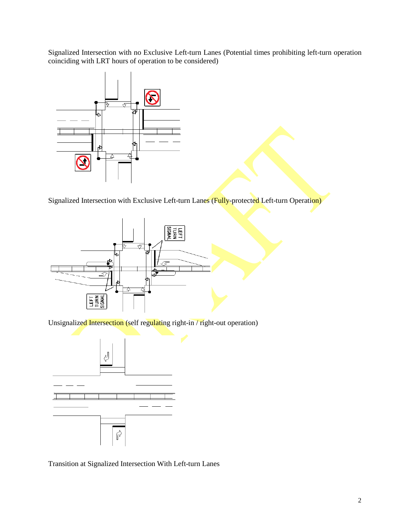Signalized Intersection with no Exclusive Left-turn Lanes (Potential times prohibiting left-turn operation coinciding with LRT hours of operation to be considered)



Signalized Intersection with Exclusive Left-turn Lanes (Fully-protected Left-turn Operation)



Unsignalized Intersection (self regulating right-in / right-out operation)



Transition at Signalized Intersection With Left-turn Lanes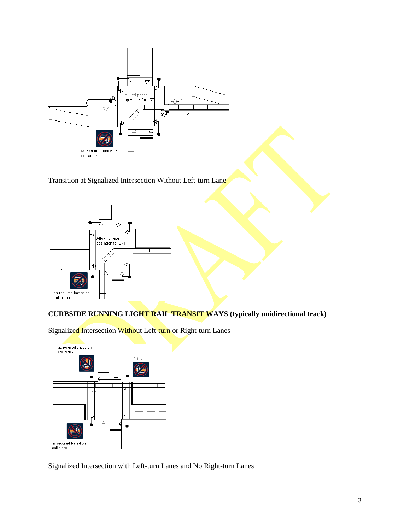

Transition at Signalized Intersection Without Left-turn Lane



**CURBSIDE RUNNING LIGHT RAIL TRANSIT WAYS (typically unidirectional track)**



Signalized Intersection Without Left-turn or Right-turn Lanes

Signalized Intersection with Left-turn Lanes and No Right-turn Lanes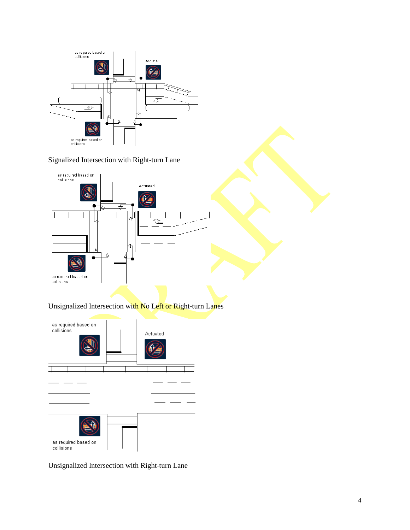

## Signalized Intersection with Right-turn Lane



## Unsignalized Intersection with No Left or Right-turn Lanes



Unsignalized Intersection with Right-turn Lane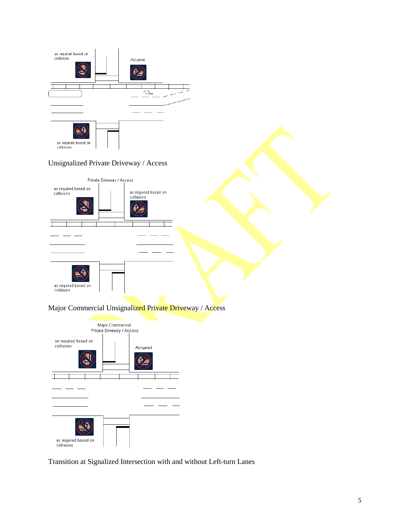

# Unsignalized Private Driveway / Access



## Major Commercial Unsignalized Private Driveway / Access



Transition at Signalized Intersection with and without Left-turn Lanes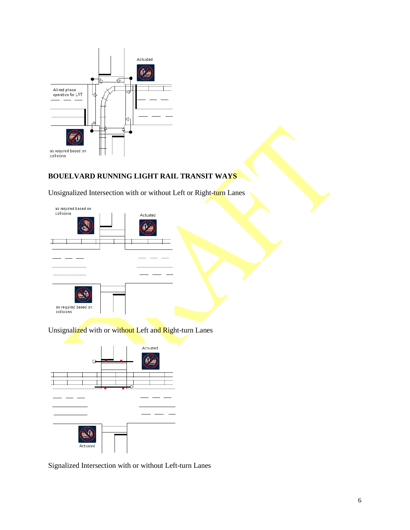

## **BOUELVARD RUNNING LIGHT RAIL TRANSIT WAYS**

Unsignalized Intersection with or without Left or Right-turn Lanes



Unsignalized with or without Left and Right-turn Lanes



Signalized Intersection with or without Left-turn Lanes